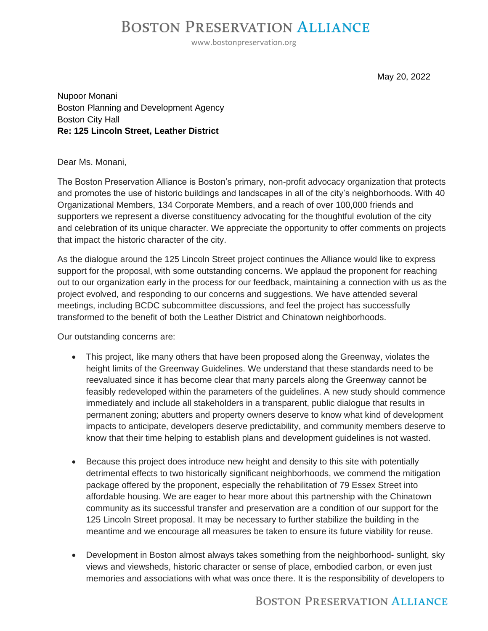## **BOSTON PRESERVATION ALLIANCE**

www.bostonpreservation.org

May 20, 2022

Nupoor Monani Boston Planning and Development Agency Boston City Hall **Re: 125 Lincoln Street, Leather District**

## Dear Ms. Monani,

The Boston Preservation Alliance is Boston's primary, non-profit advocacy organization that protects and promotes the use of historic buildings and landscapes in all of the city's neighborhoods. With 40 Organizational Members, 134 Corporate Members, and a reach of over 100,000 friends and supporters we represent a diverse constituency advocating for the thoughtful evolution of the city and celebration of its unique character. We appreciate the opportunity to offer comments on projects that impact the historic character of the city.

As the dialogue around the 125 Lincoln Street project continues the Alliance would like to express support for the proposal, with some outstanding concerns. We applaud the proponent for reaching out to our organization early in the process for our feedback, maintaining a connection with us as the project evolved, and responding to our concerns and suggestions. We have attended several meetings, including BCDC subcommittee discussions, and feel the project has successfully transformed to the benefit of both the Leather District and Chinatown neighborhoods.

Our outstanding concerns are:

- This project, like many others that have been proposed along the Greenway, violates the height limits of the Greenway Guidelines. We understand that these standards need to be reevaluated since it has become clear that many parcels along the Greenway cannot be feasibly redeveloped within the parameters of the guidelines. A new study should commence immediately and include all stakeholders in a transparent, public dialogue that results in permanent zoning; abutters and property owners deserve to know what kind of development impacts to anticipate, developers deserve predictability, and community members deserve to know that their time helping to establish plans and development guidelines is not wasted.
- Because this project does introduce new height and density to this site with potentially detrimental effects to two historically significant neighborhoods, we commend the mitigation package offered by the proponent, especially the rehabilitation of 79 Essex Street into affordable housing. We are eager to hear more about this partnership with the Chinatown community as its successful transfer and preservation are a condition of our support for the 125 Lincoln Street proposal. It may be necessary to further stabilize the building in the meantime and we encourage all measures be taken to ensure its future viability for reuse.
- Development in Boston almost always takes something from the neighborhood- sunlight, sky views and viewsheds, historic character or sense of place, embodied carbon, or even just memories and associations with what was once there. It is the responsibility of developers to